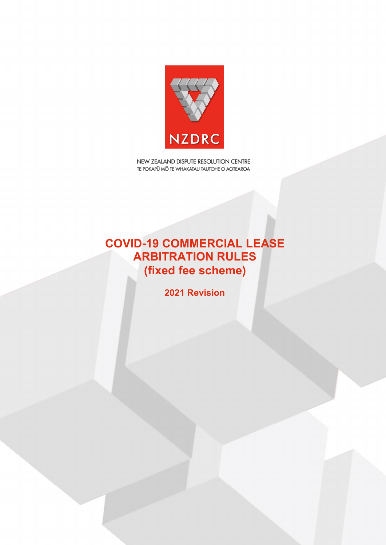

NEW ZEALAND DISPUTE RESOLUTION CENTRE TE POKAPŪ MŌ TE WHAKATAU TAUTOHE O AOTEAROA

# **COVID-19 COMMERCIAL LEASE ARBITRATION RULES (fixed fee scheme)**

**2021 Revision**

2017 –ARBITRATION RULES – Version 6.0 August 2017 1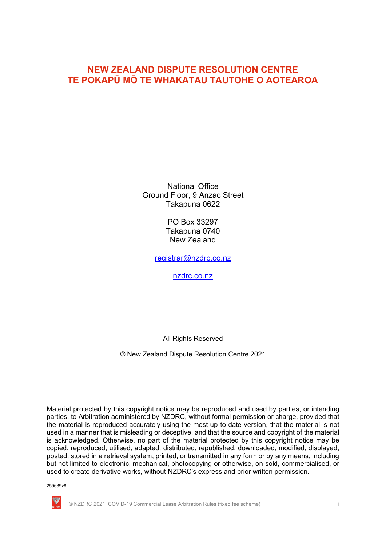## **NEW ZEALAND DISPUTE RESOLUTION CENTRE TE POKAPŪ MŌ TE WHAKATAU TAUTOHE O AOTEAROA**

National Office Ground Floor, 9 Anzac Street Takapuna 0622

> PO Box 33297 Takapuna 0740 New Zealand

registrar@nzdrc.co.nz

nzdrc.co.nz

All Rights Reserved

© New Zealand Dispute Resolution Centre 2021

Material protected by this copyright notice may be reproduced and used by parties, or intending parties, to Arbitration administered by NZDRC, without formal permission or charge, provided that the material is reproduced accurately using the most up to date version, that the material is not used in a manner that is misleading or deceptive, and that the source and copyright of the material is acknowledged. Otherwise, no part of the material protected by this copyright notice may be copied, reproduced, utilised, adapted, distributed, republished, downloaded, modified, displayed, posted, stored in a retrieval system, printed, or transmitted in any form or by any means, including but not limited to electronic, mechanical, photocopying or otherwise, on-sold, commercialised, or used to create derivative works, without NZDRC's express and prior written permission.

259639v8



© NZDRC 2021: COVID-19 Commercial Lease Arbitration Rules (fixed fee scheme) i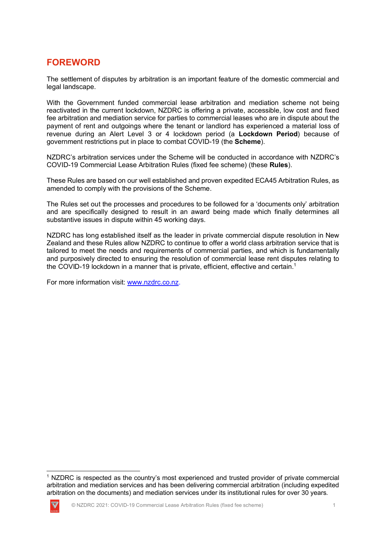## **FOREWORD**

The settlement of disputes by arbitration is an important feature of the domestic commercial and legal landscape.

With the Government funded commercial lease arbitration and mediation scheme not being reactivated in the current lockdown, NZDRC is offering a private, accessible, low cost and fixed fee arbitration and mediation service for parties to commercial leases who are in dispute about the payment of rent and outgoings where the tenant or landlord has experienced a material loss of revenue during an Alert Level 3 or 4 lockdown period (a **Lockdown Period**) because of government restrictions put in place to combat COVID-19 (the **Scheme**).

NZDRC's arbitration services under the Scheme will be conducted in accordance with NZDRC's COVID-19 Commercial Lease Arbitration Rules (fixed fee scheme) (these **Rules**).

These Rules are based on our well established and proven expedited ECA45 Arbitration Rules, as amended to comply with the provisions of the Scheme.

The Rules set out the processes and procedures to be followed for a 'documents only' arbitration and are specifically designed to result in an award being made which finally determines all substantive issues in dispute within 45 working days.

NZDRC has long established itself as the leader in private commercial dispute resolution in New Zealand and these Rules allow NZDRC to continue to offer a world class arbitration service that is tailored to meet the needs and requirements of commercial parties, and which is fundamentally and purposively directed to ensuring the resolution of commercial lease rent disputes relating to the COVID-19 lockdown in a manner that is private, efficient, effective and certain.<sup>1</sup>

For more information visit: www.nzdrc.co.nz.

<sup>&</sup>lt;sup>1</sup> NZDRC is respected as the country's most experienced and trusted provider of private commercial arbitration and mediation services and has been delivering commercial arbitration (including expedited arbitration on the documents) and mediation services under its institutional rules for over 30 years.

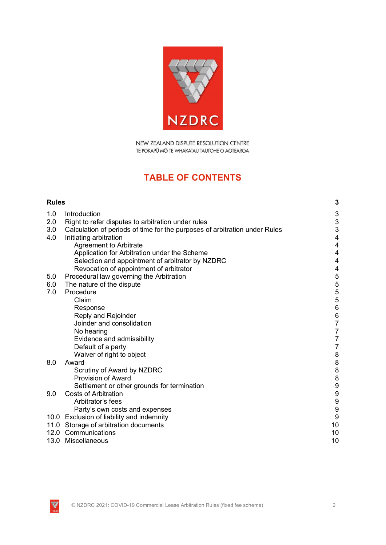

NEW ZEALAND DISPUTE RESOLUTION CENTRE TE POKAPŪ MŌ TE WHAKATAU TAUTOHE O AOTEAROA

# **TABLE OF CONTENTS**

| <b>Rules</b> |                                                                            | 3                                          |
|--------------|----------------------------------------------------------------------------|--------------------------------------------|
| 1.0          | Introduction                                                               | 3                                          |
| 2.0          | Right to refer disputes to arbitration under rules                         | $\mathsf 3$                                |
| 3.0          | Calculation of periods of time for the purposes of arbitration under Rules | 3                                          |
| 4.0          | Initiating arbitration                                                     | $\overline{\mathcal{A}}$                   |
|              | Agreement to Arbitrate                                                     | $\overline{4}$                             |
|              | Application for Arbitration under the Scheme                               | 4                                          |
|              | Selection and appointment of arbitrator by NZDRC                           | 4                                          |
|              | Revocation of appointment of arbitrator                                    | $\overline{\mathbf{r}}$                    |
| 5.0          | Procedural law governing the Arbitration                                   | 5                                          |
| 6.0          | The nature of the dispute                                                  |                                            |
| 7.0          | Procedure                                                                  | 5<br>5<br>5<br>5                           |
|              | Claim                                                                      |                                            |
|              | Response                                                                   | $\overline{6}$                             |
|              | Reply and Rejoinder                                                        | $\begin{array}{c} 6 \\ 7 \end{array}$      |
|              | Joinder and consolidation                                                  |                                            |
|              | No hearing                                                                 | $\frac{7}{7}$                              |
|              | Evidence and admissibility                                                 |                                            |
|              | Default of a party                                                         | $\overline{7}$                             |
| 8.0          | Waiver of right to object<br>Award                                         | $\bf 8$                                    |
|              | Scrutiny of Award by NZDRC                                                 | $\begin{array}{c} 8 \\ 8 \\ 8 \end{array}$ |
|              | <b>Provision of Award</b>                                                  |                                            |
|              | Settlement or other grounds for termination                                | 9                                          |
| 9.0          | <b>Costs of Arbitration</b>                                                | $\overline{9}$                             |
|              | Arbitrator's fees                                                          | $\overline{9}$                             |
|              | Party's own costs and expenses                                             | $\overline{9}$                             |
|              | 10.0 Exclusion of liability and indemnity                                  | 9                                          |
|              | 11.0 Storage of arbitration documents                                      | 10                                         |
|              | 12.0 Communications                                                        | 10                                         |
|              | 13.0 Miscellaneous                                                         | 10                                         |

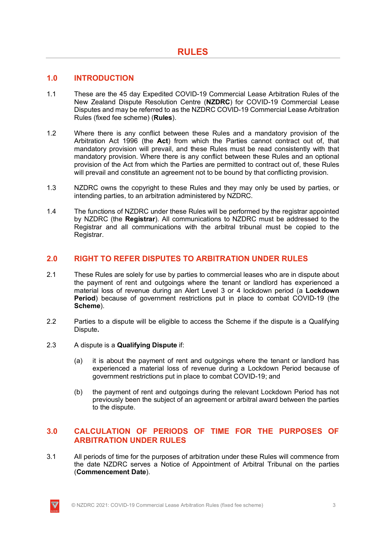## **1.0 INTRODUCTION**

- 1.1 These are the 45 day Expedited COVID-19 Commercial Lease Arbitration Rules of the New Zealand Dispute Resolution Centre (**NZDRC**) for COVID-19 Commercial Lease Disputes and may be referred to as the NZDRC COVID-19 Commercial Lease Arbitration Rules (fixed fee scheme) (**Rules**).
- 1.2 Where there is any conflict between these Rules and a mandatory provision of the Arbitration Act 1996 (the **Act**) from which the Parties cannot contract out of, that mandatory provision will prevail, and these Rules must be read consistently with that mandatory provision. Where there is any conflict between these Rules and an optional provision of the Act from which the Parties are permitted to contract out of, these Rules will prevail and constitute an agreement not to be bound by that conflicting provision.
- 1.3 NZDRC owns the copyright to these Rules and they may only be used by parties, or intending parties, to an arbitration administered by NZDRC.
- 1.4 The functions of NZDRC under these Rules will be performed by the registrar appointed by NZDRC (the **Registrar**). All communications to NZDRC must be addressed to the Registrar and all communications with the arbitral tribunal must be copied to the Registrar.

## **2.0 RIGHT TO REFER DISPUTES TO ARBITRATION UNDER RULES**

- 2.1 These Rules are solely for use by parties to commercial leases who are in dispute about the payment of rent and outgoings where the tenant or landlord has experienced a material loss of revenue during an Alert Level 3 or 4 lockdown period (a **Lockdown Period**) because of government restrictions put in place to combat COVID-19 (the **Scheme**).
- 2.2 Parties to a dispute will be eligible to access the Scheme if the dispute is a Qualifying Dispute**.**
- 2.3 A dispute is a **Qualifying Dispute** if:
	- (a) it is about the payment of rent and outgoings where the tenant or landlord has experienced a material loss of revenue during a Lockdown Period because of government restrictions put in place to combat COVID-19; and
	- (b) the payment of rent and outgoings during the relevant Lockdown Period has not previously been the subject of an agreement or arbitral award between the parties to the dispute.

## **3.0 CALCULATION OF PERIODS OF TIME FOR THE PURPOSES OF ARBITRATION UNDER RULES**

3.1 All periods of time for the purposes of arbitration under these Rules will commence from the date NZDRC serves a Notice of Appointment of Arbitral Tribunal on the parties (**Commencement Date**).

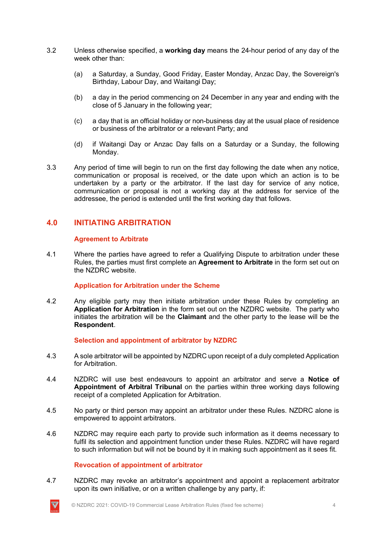- 3.2 Unless otherwise specified, a **working day** means the 24-hour period of any day of the week other than:
	- (a) a Saturday, a Sunday, Good Friday, Easter Monday, Anzac Day, the Sovereign's Birthday, Labour Day, and Waitangi Day;
	- (b) a day in the period commencing on 24 December in any year and ending with the close of 5 January in the following year;
	- (c) a day that is an official holiday or non-business day at the usual place of residence or business of the arbitrator or a relevant Party; and
	- (d) if Waitangi Day or Anzac Day falls on a Saturday or a Sunday, the following Monday.
- 3.3 Any period of time will begin to run on the first day following the date when any notice, communication or proposal is received, or the date upon which an action is to be undertaken by a party or the arbitrator. If the last day for service of any notice, communication or proposal is not a working day at the address for service of the addressee, the period is extended until the first working day that follows.

## **4.0 INITIATING ARBITRATION**

#### **Agreement to Arbitrate**

4.1 Where the parties have agreed to refer a Qualifying Dispute to arbitration under these Rules, the parties must first complete an **Agreement to Arbitrate** in the form set out on the NZDRC website.

#### **Application for Arbitration under the Scheme**

4.2 Any eligible party may then initiate arbitration under these Rules by completing an **Application for Arbitration** in the form set out on the NZDRC website. The party who initiates the arbitration will be the **Claimant** and the other party to the lease will be the **Respondent**.

#### **Selection and appointment of arbitrator by NZDRC**

- 4.3 A sole arbitrator will be appointed by NZDRC upon receipt of a duly completed Application for Arbitration.
- 4.4 NZDRC will use best endeavours to appoint an arbitrator and serve a **Notice of Appointment of Arbitral Tribunal** on the parties within three working days following receipt of a completed Application for Arbitration.
- 4.5 No party or third person may appoint an arbitrator under these Rules. NZDRC alone is empowered to appoint arbitrators.
- 4.6 NZDRC may require each party to provide such information as it deems necessary to fulfil its selection and appointment function under these Rules. NZDRC will have regard to such information but will not be bound by it in making such appointment as it sees fit.

#### **Revocation of appointment of arbitrator**

4.7 NZDRC may revoke an arbitrator's appointment and appoint a replacement arbitrator upon its own initiative, or on a written challenge by any party, if:

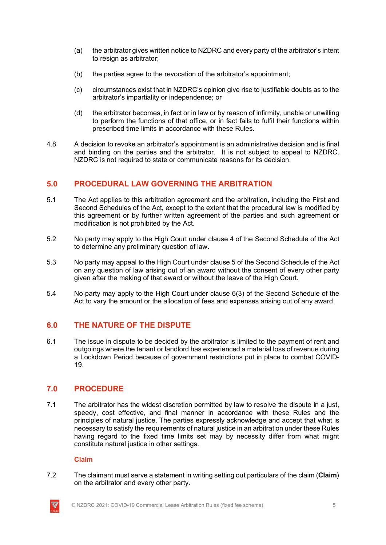- (a) the arbitrator gives written notice to NZDRC and every party of the arbitrator's intent to resign as arbitrator;
- (b) the parties agree to the revocation of the arbitrator's appointment;
- (c) circumstances exist that in NZDRC's opinion give rise to justifiable doubts as to the arbitrator's impartiality or independence; or
- (d) the arbitrator becomes, in fact or in law or by reason of infirmity, unable or unwilling to perform the functions of that office, or in fact fails to fulfil their functions within prescribed time limits in accordance with these Rules.
- 4.8 A decision to revoke an arbitrator's appointment is an administrative decision and is final and binding on the parties and the arbitrator. It is not subject to appeal to NZDRC. NZDRC is not required to state or communicate reasons for its decision.

## **5.0 PROCEDURAL LAW GOVERNING THE ARBITRATION**

- 5.1 The Act applies to this arbitration agreement and the arbitration, including the First and Second Schedules of the Act, except to the extent that the procedural law is modified by this agreement or by further written agreement of the parties and such agreement or modification is not prohibited by the Act.
- 5.2 No party may apply to the High Court under clause 4 of the Second Schedule of the Act to determine any preliminary question of law.
- 5.3 No party may appeal to the High Court under clause 5 of the Second Schedule of the Act on any question of law arising out of an award without the consent of every other party given after the making of that award or without the leave of the High Court.
- 5.4 No party may apply to the High Court under clause 6(3) of the Second Schedule of the Act to vary the amount or the allocation of fees and expenses arising out of any award.

## **6.0 THE NATURE OF THE DISPUTE**

6.1 The issue in dispute to be decided by the arbitrator is limited to the payment of rent and outgoings where the tenant or landlord has experienced a material loss of revenue during a Lockdown Period because of government restrictions put in place to combat COVID-19.

## **7.0 PROCEDURE**

7.1 The arbitrator has the widest discretion permitted by law to resolve the dispute in a just, speedy, cost effective, and final manner in accordance with these Rules and the principles of natural justice. The parties expressly acknowledge and accept that what is necessary to satisfy the requirements of natural justice in an arbitration under these Rules having regard to the fixed time limits set may by necessity differ from what might constitute natural justice in other settings.

#### **Claim**

7.2 The claimant must serve a statement in writing setting out particulars of the claim (**Claim**) on the arbitrator and every other party.

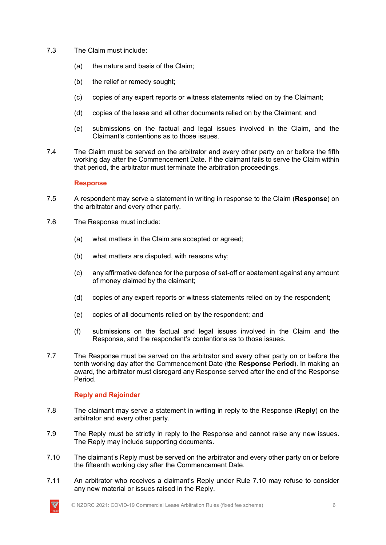- 7.3 The Claim must include:
	- (a) the nature and basis of the Claim;
	- (b) the relief or remedy sought;
	- (c) copies of any expert reports or witness statements relied on by the Claimant;
	- (d) copies of the lease and all other documents relied on by the Claimant; and
	- (e) submissions on the factual and legal issues involved in the Claim, and the Claimant's contentions as to those issues.
- 7.4 The Claim must be served on the arbitrator and every other party on or before the fifth working day after the Commencement Date. If the claimant fails to serve the Claim within that period, the arbitrator must terminate the arbitration proceedings.

### **Response**

- 7.5 A respondent may serve a statement in writing in response to the Claim (**Response**) on the arbitrator and every other party.
- 7.6 The Response must include:
	- (a) what matters in the Claim are accepted or agreed;
	- (b) what matters are disputed, with reasons why;
	- (c) any affirmative defence for the purpose of set-off or abatement against any amount of money claimed by the claimant;
	- (d) copies of any expert reports or witness statements relied on by the respondent;
	- (e) copies of all documents relied on by the respondent; and
	- (f) submissions on the factual and legal issues involved in the Claim and the Response, and the respondent's contentions as to those issues.
- 7.7 The Response must be served on the arbitrator and every other party on or before the tenth working day after the Commencement Date (the **Response Period**). In making an award, the arbitrator must disregard any Response served after the end of the Response Period.

## **Reply and Rejoinder**

- 7.8 The claimant may serve a statement in writing in reply to the Response (**Reply**) on the arbitrator and every other party.
- 7.9 The Reply must be strictly in reply to the Response and cannot raise any new issues. The Reply may include supporting documents.
- 7.10 The claimant's Reply must be served on the arbitrator and every other party on or before the fifteenth working day after the Commencement Date.
- 7.11 An arbitrator who receives a claimant's Reply under Rule 7.10 may refuse to consider any new material or issues raised in the Reply.

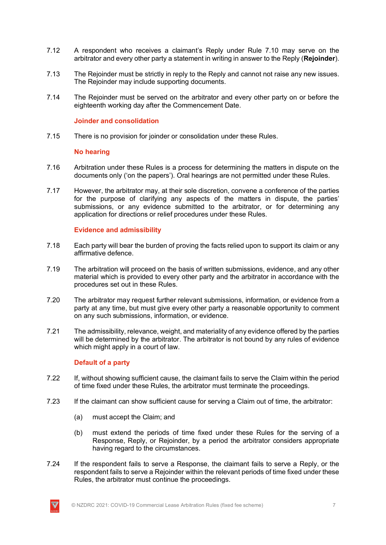- 7.12 A respondent who receives a claimant's Reply under Rule 7.10 may serve on the arbitrator and every other party a statement in writing in answer to the Reply (**Rejoinder**).
- 7.13 The Rejoinder must be strictly in reply to the Reply and cannot not raise any new issues. The Rejoinder may include supporting documents.
- 7.14 The Rejoinder must be served on the arbitrator and every other party on or before the eighteenth working day after the Commencement Date.

#### **Joinder and consolidation**

7.15 There is no provision for joinder or consolidation under these Rules.

#### **No hearing**

- 7.16 Arbitration under these Rules is a process for determining the matters in dispute on the documents only ('on the papers'). Oral hearings are not permitted under these Rules.
- 7.17 However, the arbitrator may, at their sole discretion, convene a conference of the parties for the purpose of clarifying any aspects of the matters in dispute, the parties' submissions, or any evidence submitted to the arbitrator, or for determining any application for directions or relief procedures under these Rules.

#### **Evidence and admissibility**

- 7.18 Each party will bear the burden of proving the facts relied upon to support its claim or any affirmative defence.
- 7.19 The arbitration will proceed on the basis of written submissions, evidence, and any other material which is provided to every other party and the arbitrator in accordance with the procedures set out in these Rules.
- 7.20 The arbitrator may request further relevant submissions, information, or evidence from a party at any time, but must give every other party a reasonable opportunity to comment on any such submissions, information, or evidence.
- 7.21 The admissibility, relevance, weight, and materiality of any evidence offered by the parties will be determined by the arbitrator. The arbitrator is not bound by any rules of evidence which might apply in a court of law.

#### **Default of a party**

- 7.22 If, without showing sufficient cause, the claimant fails to serve the Claim within the period of time fixed under these Rules, the arbitrator must terminate the proceedings.
- 7.23 If the claimant can show sufficient cause for serving a Claim out of time, the arbitrator:
	- (a) must accept the Claim; and
	- (b) must extend the periods of time fixed under these Rules for the serving of a Response, Reply, or Rejoinder, by a period the arbitrator considers appropriate having regard to the circumstances.
- 7.24 If the respondent fails to serve a Response, the claimant fails to serve a Reply, or the respondent fails to serve a Rejoinder within the relevant periods of time fixed under these Rules, the arbitrator must continue the proceedings.

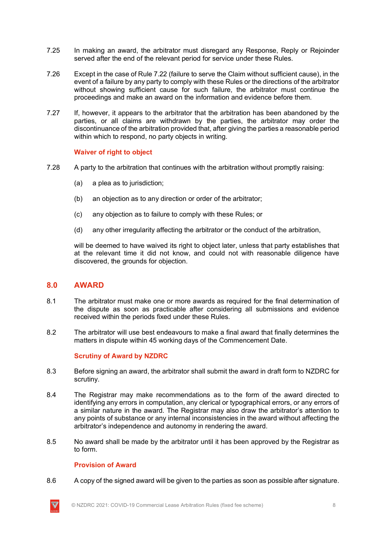- 7.25 In making an award, the arbitrator must disregard any Response, Reply or Rejoinder served after the end of the relevant period for service under these Rules.
- 7.26 Except in the case of Rule 7.22 (failure to serve the Claim without sufficient cause), in the event of a failure by any party to comply with these Rules or the directions of the arbitrator without showing sufficient cause for such failure, the arbitrator must continue the proceedings and make an award on the information and evidence before them.
- 7.27 If, however, it appears to the arbitrator that the arbitration has been abandoned by the parties, or all claims are withdrawn by the parties, the arbitrator may order the discontinuance of the arbitration provided that, after giving the parties a reasonable period within which to respond, no party objects in writing.

#### **Waiver of right to object**

- 7.28 A party to the arbitration that continues with the arbitration without promptly raising:
	- (a) a plea as to jurisdiction;
	- (b) an objection as to any direction or order of the arbitrator;
	- (c) any objection as to failure to comply with these Rules; or
	- (d) any other irregularity affecting the arbitrator or the conduct of the arbitration,

will be deemed to have waived its right to object later, unless that party establishes that at the relevant time it did not know, and could not with reasonable diligence have discovered, the grounds for objection.

#### **8.0 AWARD**

- 8.1 The arbitrator must make one or more awards as required for the final determination of the dispute as soon as practicable after considering all submissions and evidence received within the periods fixed under these Rules.
- 8.2 The arbitrator will use best endeavours to make a final award that finally determines the matters in dispute within 45 working days of the Commencement Date.

#### **Scrutiny of Award by NZDRC**

- 8.3 Before signing an award, the arbitrator shall submit the award in draft form to NZDRC for scrutiny.
- 8.4 The Registrar may make recommendations as to the form of the award directed to identifying any errors in computation, any clerical or typographical errors, or any errors of a similar nature in the award. The Registrar may also draw the arbitrator's attention to any points of substance or any internal inconsistencies in the award without affecting the arbitrator's independence and autonomy in rendering the award.
- 8.5 No award shall be made by the arbitrator until it has been approved by the Registrar as to form.

#### **Provision of Award**

8.6 A copy of the signed award will be given to the parties as soon as possible after signature.

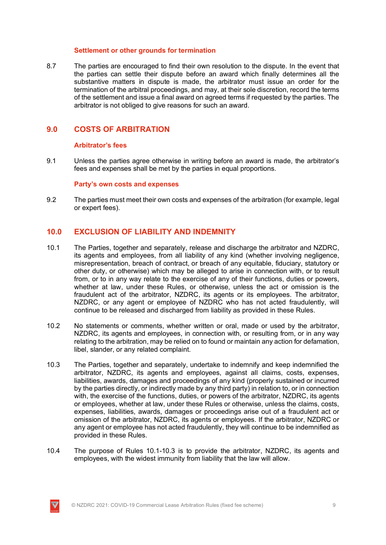#### **Settlement or other grounds for termination**

8.7 The parties are encouraged to find their own resolution to the dispute. In the event that the parties can settle their dispute before an award which finally determines all the substantive matters in dispute is made, the arbitrator must issue an order for the termination of the arbitral proceedings, and may, at their sole discretion, record the terms of the settlement and issue a final award on agreed terms if requested by the parties. The arbitrator is not obliged to give reasons for such an award.

## **9.0 COSTS OF ARBITRATION**

#### **Arbitrator's fees**

9.1 Unless the parties agree otherwise in writing before an award is made, the arbitrator's fees and expenses shall be met by the parties in equal proportions.

#### **Party's own costs and expenses**

9.2 The parties must meet their own costs and expenses of the arbitration (for example, legal or expert fees).

## **10.0 EXCLUSION OF LIABILITY AND INDEMNITY**

- 10.1 The Parties, together and separately, release and discharge the arbitrator and NZDRC, its agents and employees, from all liability of any kind (whether involving negligence, misrepresentation, breach of contract, or breach of any equitable, fiduciary, statutory or other duty, or otherwise) which may be alleged to arise in connection with, or to result from, or to in any way relate to the exercise of any of their functions, duties or powers, whether at law, under these Rules, or otherwise, unless the act or omission is the fraudulent act of the arbitrator, NZDRC, its agents or its employees. The arbitrator, NZDRC, or any agent or employee of NZDRC who has not acted fraudulently, will continue to be released and discharged from liability as provided in these Rules.
- 10.2 No statements or comments, whether written or oral, made or used by the arbitrator, NZDRC, its agents and employees, in connection with, or resulting from, or in any way relating to the arbitration, may be relied on to found or maintain any action for defamation, libel, slander, or any related complaint.
- 10.3 The Parties, together and separately, undertake to indemnify and keep indemnified the arbitrator, NZDRC, its agents and employees, against all claims, costs, expenses, liabilities, awards, damages and proceedings of any kind (properly sustained or incurred by the parties directly, or indirectly made by any third party) in relation to, or in connection with, the exercise of the functions, duties, or powers of the arbitrator, NZDRC, its agents or employees, whether at law, under these Rules or otherwise, unless the claims, costs, expenses, liabilities, awards, damages or proceedings arise out of a fraudulent act or omission of the arbitrator, NZDRC, its agents or employees. If the arbitrator, NZDRC or any agent or employee has not acted fraudulently, they will continue to be indemnified as provided in these Rules.
- 10.4 The purpose of Rules 10.1-10.3 is to provide the arbitrator, NZDRC, its agents and employees, with the widest immunity from liability that the law will allow.